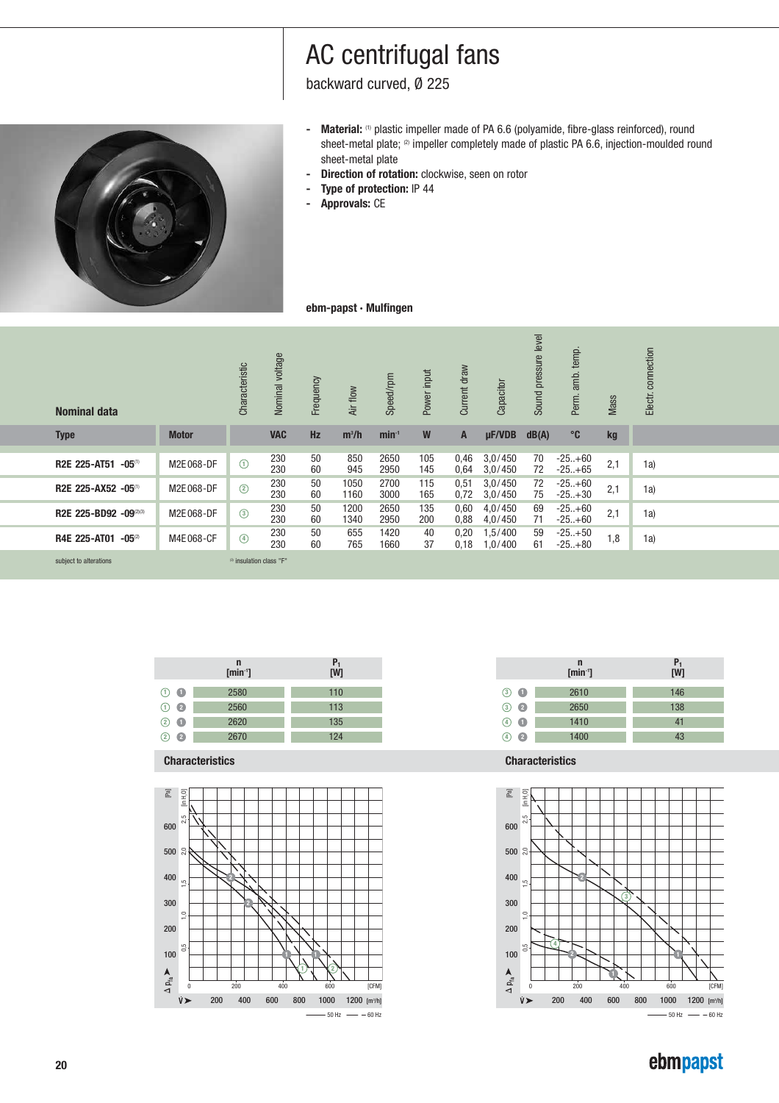$\frac{1}{2}$  backward curved,  $\emptyset$  225 backward curved, **D** 



- Material: (1) plastic impeller made of PA 6.6 (polyamide, fibre-glass reinforced), round sheet-metal plate;  $\infty$  impeller completely made of plastic PA 6.6, injection-moulded round sheet-metal plate
- **Direction of rotation:** clockwise, seen on rotor<br>**-** Direction of protection: IP 44
- **Type of protection:** IP 44
- **Approvals:** CE

### **ebm-papst · Mulfingen**

| <b>Nominal data</b>                |              | Characteristic                      | voltage<br><b>Nominal</b> | Frequency | Air flow     | Speed/rpm    | Power input | Current draw | Capacitor          | level<br>pressure<br>Sound | temp.<br>amb.<br>Perm. | Mass | connection<br>Electr. |  |
|------------------------------------|--------------|-------------------------------------|---------------------------|-----------|--------------|--------------|-------------|--------------|--------------------|----------------------------|------------------------|------|-----------------------|--|
| <b>Type</b>                        | <b>Motor</b> |                                     | <b>VAC</b>                | <b>Hz</b> | $m^3/h$      | $min-1$      | W           | A            | $\mu$ F/VDB        | dB(A)                      | $^{\circ}$ C           | kg   |                       |  |
| <b>R2E 225-AT51</b><br>$-05^{(1)}$ | M2E068-DF    | $\odot$                             | 230<br>230                | 50<br>60  | 850<br>945   | 2650<br>2950 | 105<br>145  | 0,46<br>0,64 | 3,0/450<br>3,0/450 | 70<br>72                   | $-25+60$<br>$-25+65$   | 2,1  | 1a)                   |  |
| R2E 225-AX52 -05(1)                | M2E068-DF    | $^{\circ}$                          | 230<br>230                | 50<br>60  | 1050<br>1160 | 2700<br>3000 | 115<br>165  | 0,51<br>0,72 | 3,0/450<br>3,0/450 | 72<br>75                   | $-25+60$<br>$-25+30$   | 2,1  | 1a)                   |  |
| R2E 225-BD92 -09(2)(3)             | M2E068-DF    | $\circled{3}$                       | 230<br>230                | 50<br>60  | 1200<br>1340 | 2650<br>2950 | 135<br>200  | 0,60<br>0,88 | 4,0/450<br>4,0/450 | 69<br>71                   | $-25+60$<br>$-25+60$   | 2,1  | 1a)                   |  |
| <b>R4E 225-AT01</b><br>$-05^{(2)}$ | M4E068-CF    | $\circledcirc$                      | 230<br>230                | 50<br>60  | 655<br>765   | 1420<br>1660 | 40<br>37    | 0,20<br>0,18 | 1,5/400<br>1,0/400 | 59<br>61                   | $-25+50$<br>$-25+80$   | 1,8  | 1a)                   |  |
| subject to alterations             |              | <sup>(3)</sup> insulation class "F" |                           |           |              |              |             |              |                    |                            |                        |      |                       |  |

|                   | n<br>$[\text{min}^{\cdot}$ | $\frac{P_1}{[W]}$ |
|-------------------|----------------------------|-------------------|
| $\odot$ $\bullet$ | 2580                       | 110               |
| $\odot$ $\odot$   | 2560                       | 113               |
| $(2)$ $\bullet$   | 2620                       | 135               |
| $\cdot$ 2<br>(2)  | 2670                       | 124               |
|                   |                            |                   |

**Characteristics Characteristics**







## ebmpapst